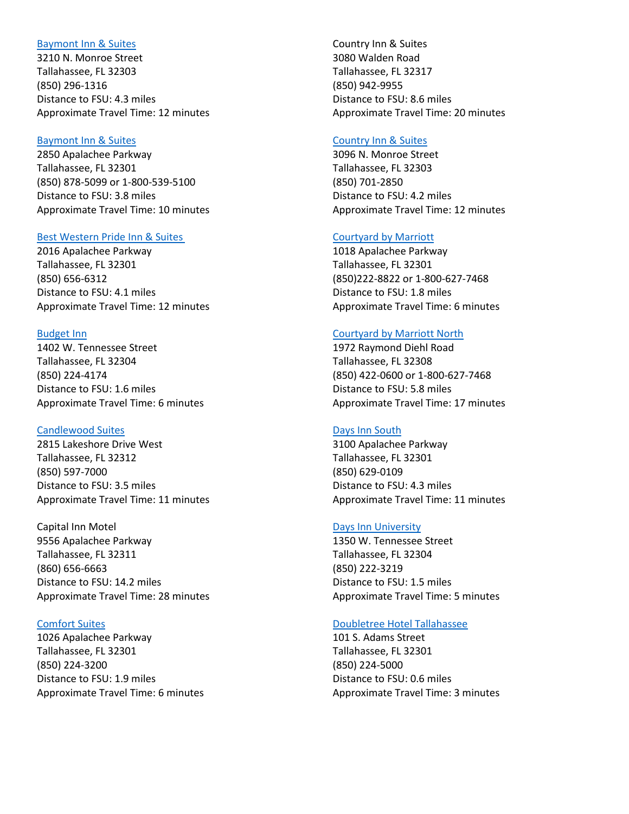# [Baymont Inn & Suites](https://www.wyndhamhotels.com/baymont/tallahassee-florida/baymont-inn-and-suites-tallahassee/overview?CID=LC:BU:20160927:RIO:Local:SM-busatl)

3210 N. Monroe Street Tallahassee, FL 32303 (850) 296-1316 Distance to FSU: 4.3 miles Approximate Travel Time: 12 minutes

### [Baymont Inn & Suites](https://www.wyndhamhotels.com/baymont/tallahassee-florida/baymont-inn-and-suites-tallahassee-central/overview)

2850 Apalachee Parkway Tallahassee, FL 32301 (850) 878-5099 or 1-800-539-5100 Distance to FSU: 3.8 miles Approximate Travel Time: 10 minutes

# [Best Western Pride Inn & Suites](https://www.bestwestern.com/en_US/book/hotel-details.10214.html)

2016 Apalachee Parkway Tallahassee, FL 32301 (850) 656-6312 Distance to FSU: 4.1 miles Approximate Travel Time: 12 minutes

#### [Budget Inn](https://www.budgetinntallahassee.com/)

1402 W. Tennessee Street Tallahassee, FL 32304 (850) 224-4174 Distance to FSU: 1.6 miles Approximate Travel Time: 6 minutes

#### [Candlewood Suites](https://www.ihg.com/candlewood/hotels/us/en/tallahassee/tlhcd/hoteldetail)

2815 Lakeshore Drive West Tallahassee, FL 32312 (850) 597-7000 Distance to FSU: 3.5 miles Approximate Travel Time: 11 minutes

Capital Inn Motel 9556 Apalachee Parkway Tallahassee, FL 32311 (860) 656-6663 Distance to FSU: 14.2 miles Approximate Travel Time: 28 minutes

# [Comfort Suites](http://www.comfortsuitestallahassee.com/)

1026 Apalachee Parkway Tallahassee, FL 32301 (850) 224-3200 Distance to FSU: 1.9 miles Approximate Travel Time: 6 minutes Country Inn & Suites 3080 Walden Road Tallahassee, FL 32317 (850) 942-9955 Distance to FSU: 8.6 miles Approximate Travel Time: 20 minutes

# [Country Inn & Suites](https://www.countryinns.com/tallahassee-hotel-fl-32303/fltallnw)

3096 N. Monroe Street Tallahassee, FL 32303 (850) 701-2850 Distance to FSU: 4.2 miles Approximate Travel Time: 12 minutes

# [Courtyard by Marriott](https://www.marriott.com/hotels/travel/tlhch-courtyard-tallahassee-downtown-capitol/)

1018 Apalachee Parkway Tallahassee, FL 32301 (850)222-8822 or 1-800-627-7468 Distance to FSU: 1.8 miles Approximate Travel Time: 6 minutes

#### [Courtyard by Marriott North](https://www.marriott.com/hotels/travel/tlhcy-courtyard-tallahassee-north-i-10-capital-circle/)

1972 Raymond Diehl Road Tallahassee, FL 32308 (850) 422-0600 or 1-800-627-7468 Distance to FSU: 5.8 miles Approximate Travel Time: 17 minutes

### [Days Inn South](https://www.wyndhamhotels.com/days-inn/tallahassee-florida/days-inn-tallahassee-government-center/overview?CID=LC:DI:20160927:RIO:Local:SM-disatl)

3100 Apalachee Parkway Tallahassee, FL 32301 (850) 629-0109 Distance to FSU: 4.3 miles Approximate Travel Time: 11 minutes

# [Days Inn University](https://www.wyndhamhotels.com/days-inn/tallahassee-florida/days-inn-tallahassee-university-center/overview?CID=LC:DI:20160927:RIO:Local:SM-disatl)

1350 W. Tennessee Street Tallahassee, FL 32304 (850) 222-3219 Distance to FSU: 1.5 miles Approximate Travel Time: 5 minutes

# [Doubletree Hotel Tallahassee](http://doubletree3.hilton.com/en/hotels/florida/doubletree-by-hilton-hotel-tallahassee-THLAPDT/index.html)

101 S. Adams Street Tallahassee, FL 32301 (850) 224-5000 Distance to FSU: 0.6 miles Approximate Travel Time: 3 minutes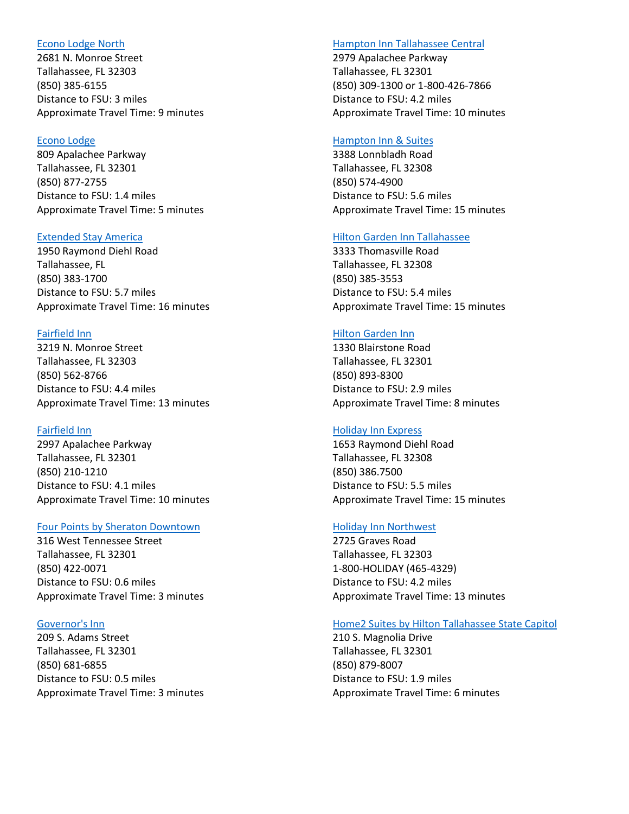## [Econo Lodge North](https://www.choicehotels.com/florida/tallahassee/econo-lodge-hotels/fl468?source=gyxt)

2681 N. Monroe Street Tallahassee, FL 32303 (850) 385-6155 Distance to FSU: 3 miles Approximate Travel Time: 9 minutes

# [Econo Lodge](https://www.choicehotels.com/florida/tallahassee/econo-lodge-hotels/fl905?source=gyxt)

809 Apalachee Parkway Tallahassee, FL 32301 (850) 877-2755 Distance to FSU: 1.4 miles Approximate Travel Time: 5 minutes

# [Extended Stay America](http://www.extendedstayamerica.com/hotels/fl/tallahassee/killearn)

1950 Raymond Diehl Road Tallahassee, FL (850) 383-1700 Distance to FSU: 5.7 miles Approximate Travel Time: 16 minutes

#### [Fairfield Inn](https://www.marriott.com/hotels/travel/tlhfi-fairfield-inn-tallahassee-north-i-10/)

3219 N. Monroe Street Tallahassee, FL 32303 (850) 562-8766 Distance to FSU: 4.4 miles Approximate Travel Time: 13 minutes

# [Fairfield Inn](https://www.marriott.com/hotels/travel/tlhec-fairfield-inn-and-suites-tallahassee-central/)

2997 Apalachee Parkway Tallahassee, FL 32301 (850) 210-1210 Distance to FSU: 4.1 miles Approximate Travel Time: 10 minutes

# [Four Points by Sheraton Downtown](https://www.marriott.com/hotels/travel/tlhfp-four-points-tallahassee-downtown/)

316 West Tennessee Street Tallahassee, FL 32301 (850) 422-0071 Distance to FSU: 0.6 miles Approximate Travel Time: 3 minutes

# [Governor's Inn](http://www.thegovinn.com/)

209 S. Adams Street Tallahassee, FL 32301 (850) 681-6855 Distance to FSU: 0.5 miles Approximate Travel Time: 3 minutes

#### [Hampton Inn Tallahassee Central](http://hamptoninn3.hilton.com/en/hotels/florida/hampton-inn-tallahassee-central-TLHHHHX/index.html)

2979 Apalachee Parkway Tallahassee, FL 32301 (850) 309-1300 or 1-800-426-7866 Distance to FSU: 4.2 miles Approximate Travel Time: 10 minutes

# [Hampton Inn & Suites](http://hamptoninn3.hilton.com/en/hotels/florida/hampton-inn-and-suites-tallahassee-i-10-thomasville-rd-TLHHSHX/index.html)

3388 Lonnbladh Road Tallahassee, FL 32308 (850) 574-4900 Distance to FSU: 5.6 miles Approximate Travel Time: 15 minutes

# [Hilton Garden Inn Tallahassee](http://hiltongardeninn3.hilton.com/en/hotels/florida/hilton-garden-inn-tallahassee-TLHTLGI/index.html)

3333 Thomasville Road Tallahassee, FL 32308 (850) 385-3553 Distance to FSU: 5.4 miles Approximate Travel Time: 15 minutes

# [Hilton Garden Inn](http://hiltongardeninn3.hilton.com/en/hotels/florida/hilton-garden-inn-tallahassee-central-TLHEHGI/index.html)

1330 Blairstone Road Tallahassee, FL 32301 (850) 893-8300 Distance to FSU: 2.9 miles Approximate Travel Time: 8 minutes

### [Holiday Inn Express](https://www.ihg.com/holidayinnexpress/hotels/us/en/tallahassee/tlhrd/hoteldetail)

1653 Raymond Diehl Road Tallahassee, FL 32308 (850) 386.7500 Distance to FSU: 5.5 miles Approximate Travel Time: 15 minutes

# [Holiday Inn Northwest](https://www.ihg.com/holidayinn/hotels/us/en/tallahassee/tlhfs/hoteldetail)

2725 Graves Road Tallahassee, FL 32303 1-800-HOLIDAY (465-4329) Distance to FSU: 4.2 miles Approximate Travel Time: 13 minutes

# [Home2 Suites by Hilton Tallahassee State Capitol](http://home2suites3.hilton.com/en/hotels/florida/home2-suites-by-hilton-tallahassee-state-capitol-TLHHTHT/index.html)

210 S. Magnolia Drive Tallahassee, FL 32301 (850) 879-8007 Distance to FSU: 1.9 miles Approximate Travel Time: 6 minutes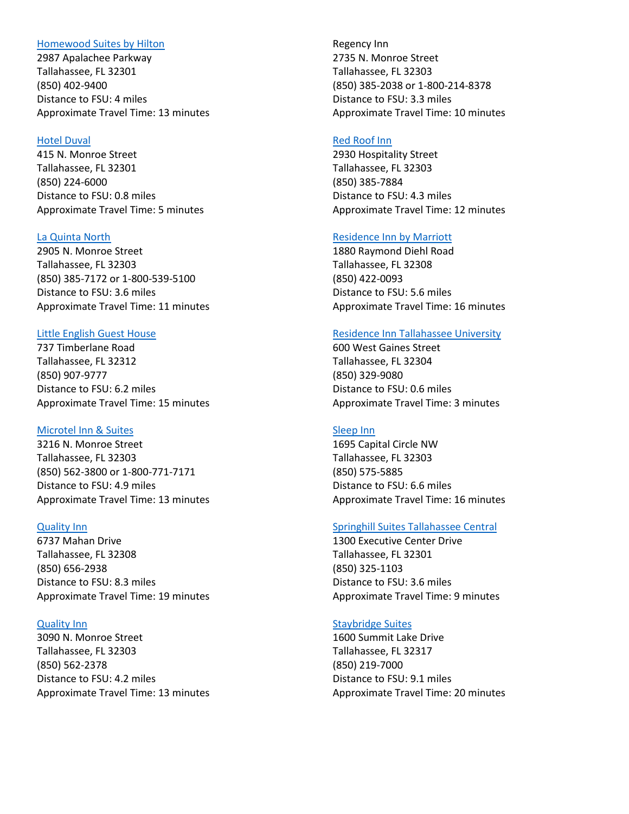### [Homewood Suites by Hilton](http://homewoodsuites3.hilton.com/en/hotels/florida/homewood-suites-by-hilton-tallahassee-TLHHWHW/index.html)

2987 Apalachee Parkway Tallahassee, FL 32301 (850) 402-9400 Distance to FSU: 4 miles Approximate Travel Time: 13 minutes

### [Hotel Duval](http://hotelduval.com/)

415 N. Monroe Street Tallahassee, FL 32301 (850) 224-6000 Distance to FSU: 0.8 miles Approximate Travel Time: 5 minutes

# [La Quinta North](http://www.laquintatallahasseenorth.com/)

2905 N. Monroe Street Tallahassee, FL 32303 (850) 385-7172 or 1-800-539-5100 Distance to FSU: 3.6 miles Approximate Travel Time: 11 minutes

#### [Little English Guest House](http://www.littleenglishguesthouse.com/)

737 Timberlane Road Tallahassee, FL 32312 (850) 907-9777 Distance to FSU: 6.2 miles Approximate Travel Time: 15 minutes

#### [Microtel Inn & Suites](https://www.wyndhamhotels.com/microtel/tallahassee-florida/microtel-inn-and-suites-tallahassee/overview?CID=LC:MT::GGL:RIO:National:28593&iata=00065402)

3216 N. Monroe Street Tallahassee, FL 32303 (850) 562-3800 or 1-800-771-7171 Distance to FSU: 4.9 miles Approximate Travel Time: 13 minutes

#### [Quality Inn](https://www.choicehotels.com/florida/tallahassee/quality-inn-hotels/fl808)

6737 Mahan Drive Tallahassee, FL 32308 (850) 656-2938 Distance to FSU: 8.3 miles Approximate Travel Time: 19 minutes

### [Quality Inn](https://www.choicehotels.com/florida/tallahassee/quality-inn-hotels/fl729)

3090 N. Monroe Street Tallahassee, FL 32303 (850) 562-2378 Distance to FSU: 4.2 miles Approximate Travel Time: 13 minutes

Regency Inn 2735 N. Monroe Street Tallahassee, FL 32303 (850) 385-2038 or 1-800-214-8378 Distance to FSU: 3.3 miles Approximate Travel Time: 10 minutes

# [Red Roof Inn](https://www.redroof.com/property/Tallahassee/FL/32303/Hotels-close-to-Tallahassee-Airport-I-10/RRI120/)

2930 Hospitality Street Tallahassee, FL 32303 (850) 385-7884 Distance to FSU: 4.3 miles Approximate Travel Time: 12 minutes

# [Residence Inn](https://www.marriott.com/hotels/travel/tlhri-residence-inn-tallahassee-north-i-10-capital-circle/) by Marriott

1880 Raymond Diehl Road Tallahassee, FL 32308 (850) 422-0093 Distance to FSU: 5.6 miles Approximate Travel Time: 16 minutes

#### [Residence Inn Tallahassee University](https://www.marriott.com/hotels/travel/tlhdt-residence-inn-tallahassee-universities-at-the-capitol)

600 West Gaines Street Tallahassee, FL 32304 (850) 329-9080 Distance to FSU: 0.6 miles Approximate Travel Time: 3 minutes

# [Sleep Inn](http://www.sleepinntallahassee.com/)

1695 Capital Circle NW Tallahassee, FL 32303 (850) 575-5885 Distance to FSU: 6.6 miles Approximate Travel Time: 16 minutes

#### [Springhill Suites Tallahassee Central](https://www.marriott.com/hotels/travel/tlhse-springhill-suites-tallahassee-central/)

1300 Executive Center Drive Tallahassee, FL 32301 (850) 325-1103 Distance to FSU: 3.6 miles Approximate Travel Time: 9 minutes

#### [Staybridge Suites](https://www.ihg.com/staybridge/hotels/us/en/tallahassee/tlhsb/hoteldetail)

1600 Summit Lake Drive Tallahassee, FL 32317 (850) 219-7000 Distance to FSU: 9.1 miles Approximate Travel Time: 20 minutes